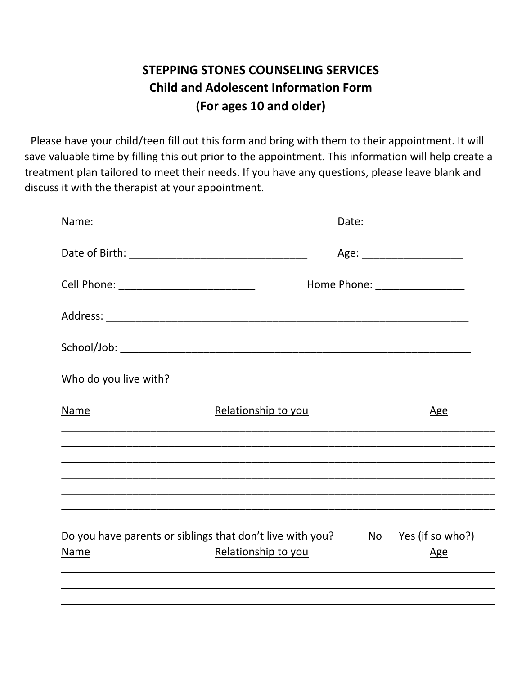## **STEPPING STONES COUNSELING SERVICES Child and Adolescent Information Form (For ages 10 and older)**

Please have your child/teen fill out this form and bring with them to their appointment. It will save valuable time by filling this out prior to the appointment. This information will help create a treatment plan tailored to meet their needs. If you have any questions, please leave blank and discuss it with the therapist at your appointment.

|                                           |                                                                                                      | Age: ________________________ |
|-------------------------------------------|------------------------------------------------------------------------------------------------------|-------------------------------|
| Cell Phone: _____________________________ |                                                                                                      | Home Phone: _________________ |
|                                           |                                                                                                      |                               |
|                                           |                                                                                                      |                               |
| Who do you live with?                     |                                                                                                      |                               |
| Name                                      | Relationship to you                                                                                  | <u>Age</u>                    |
|                                           |                                                                                                      |                               |
|                                           |                                                                                                      |                               |
|                                           |                                                                                                      |                               |
| Name                                      | Do you have parents or siblings that don't live with you? No Yes (if so who?)<br>Relationship to you | <u>Age</u>                    |
|                                           |                                                                                                      |                               |
|                                           |                                                                                                      |                               |